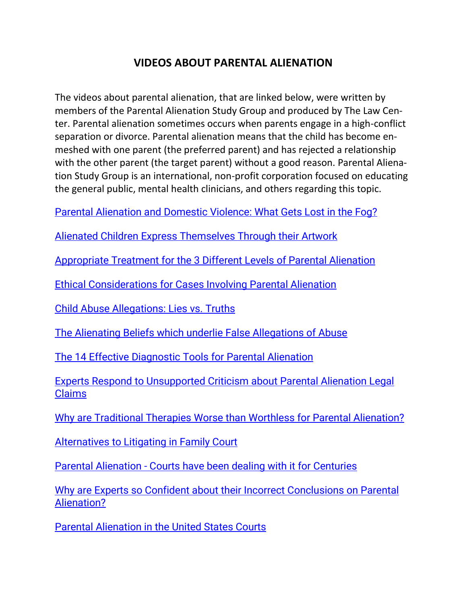## **VIDEOS ABOUT PARENTAL ALIENATIO[N](https://www.youtube.com/watch?v=Mh0x09EJ5-k&list=PLkj28_4yhpqYjg9j2aY-y1x7j7ZY44T61)**

The videos about parental alienation, that are linked below, were written by members of the Parental Alienation Study Group and produced by The Law Center. Parental alienation sometimes occurs when parents engage in a high-conflict separation or divorce. Parental alienation means that the child has become enmeshed with one parent (the preferred parent) and has rejected a relationship with the other parent (the target parent) without a good reason. Parental Alienation Study Group is an international, non-profit corporation focused on educating the general public, mental health clinicians, and others regarding this topic.

[Parental Alienation and Domestic Violence: What Gets Lost in the Fog?](https://www.youtube.com/watch?v=CfXBbnvH4cY&list=PLkj28_4yhpqYjg9j2aY-y1x7j7ZY44T61&index=1)

[Alienated Children Express Themselves Through their Artwork](https://www.youtube.com/watch?v=ckcRGVNdhCY&list=PLkj28_4yhpqYjg9j2aY-y1x7j7ZY44T61&index=2&t=26s)

[Appropriate Treatment for the 3 Different Levels of Parental Alienation](https://www.youtube.com/watch?v=gDaVeK2xWqA&list=PLkj28_4yhpqYjg9j2aY-y1x7j7ZY44T61&index=3)

[Ethical Considerations for Cases Involving Parental Alienation](https://www.youtube.com/watch?v=bjHqLEJqWMs&list=PLkj28_4yhpqYjg9j2aY-y1x7j7ZY44T61&index=4)

[Child Abuse Allegations: Lies vs. Truths](https://www.youtube.com/watch?v=-SeUBXn9SmA&list=PLkj28_4yhpqYjg9j2aY-y1x7j7ZY44T61&index=5)

[The Alienating Beliefs which underlie False Allegations of Abuse](https://www.youtube.com/watch?v=Tzi9I4MBq6c&list=PLkj28_4yhpqYjg9j2aY-y1x7j7ZY44T61&index=6)

[The 14 Effective Diagnostic Tools for Parental Alienation](https://www.youtube.com/watch?v=kLA8KR9OAQ8&list=PLkj28_4yhpqYjg9j2aY-y1x7j7ZY44T61&index=7)

[Experts Respond to Unsupported Criticism about Parental Alienation Legal](https://www.youtube.com/watch?v=EOhbVRcTt_c&list=PLkj28_4yhpqYjg9j2aY-y1x7j7ZY44T61&index=8)  [Claims](https://www.youtube.com/watch?v=EOhbVRcTt_c&list=PLkj28_4yhpqYjg9j2aY-y1x7j7ZY44T61&index=8)

[Why are Traditional Therapies Worse than Worthless for Parental Alienation?](https://www.youtube.com/watch?v=Mh0x09EJ5-k&list=PLkj28_4yhpqYjg9j2aY-y1x7j7ZY44T61&index=9)

[Alternatives to Litigating in Family Court](https://www.youtube.com/watch?v=ZOPqPzq3sN8&list=PLkj28_4yhpqYjg9j2aY-y1x7j7ZY44T61&index=10)

Parental Alienation - [Courts have been dealing with it for Centuries](https://www.youtube.com/watch?v=Z9R-8w1DgaM&list=PLkj28_4yhpqYjg9j2aY-y1x7j7ZY44T61&index=11)

[Why are Experts so Confident about their Incorrect Conclusions on Parental](https://www.youtube.com/watch?v=psUm7QKqgMs&list=PLkj28_4yhpqYjg9j2aY-y1x7j7ZY44T61&index=12)  [Alienation?](https://www.youtube.com/watch?v=psUm7QKqgMs&list=PLkj28_4yhpqYjg9j2aY-y1x7j7ZY44T61&index=12)

[Parental Alienation in the United States Courts](https://www.youtube.com/watch?v=zRphBcHAUHM&list=PLkj28_4yhpqYjg9j2aY-y1x7j7ZY44T61&index=13)